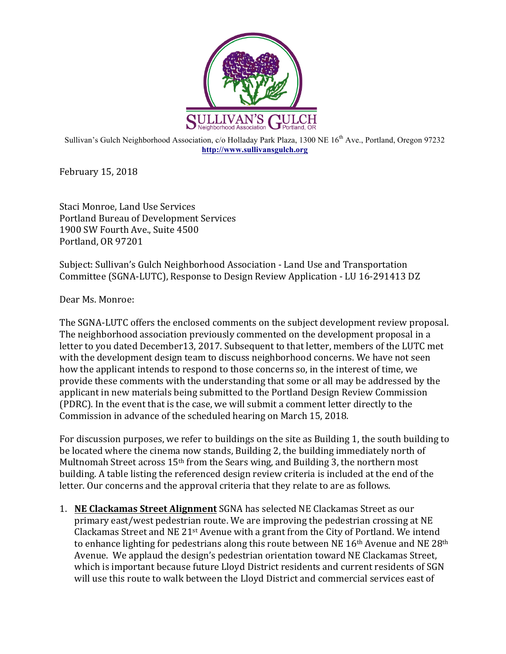

Sullivan's Gulch Neighborhood Association, c/o Holladay Park Plaza, 1300 NE 16<sup>th</sup> Ave., Portland, Oregon 97232 **http://www.sullivansgulch.org**

February 15, 2018

Staci Monroe, Land Use Services Portland Bureau of Development Services 1900 SW Fourth Ave., Suite 4500 Portland, OR 97201

Subject: Sullivan's Gulch Neighborhood Association - Land Use and Transportation Committee (SGNA-LUTC), Response to Design Review Application - LU 16-291413 DZ

Dear Ms. Monroe:

The SGNA-LUTC offers the enclosed comments on the subject development review proposal. The neighborhood association previously commented on the development proposal in a letter to you dated December13, 2017. Subsequent to that letter, members of the LUTC met with the development design team to discuss neighborhood concerns. We have not seen how the applicant intends to respond to those concerns so, in the interest of time, we provide these comments with the understanding that some or all may be addressed by the applicant in new materials being submitted to the Portland Design Review Commission (PDRC). In the event that is the case, we will submit a comment letter directly to the Commission in advance of the scheduled hearing on March 15, 2018.

For discussion purposes, we refer to buildings on the site as Building 1, the south building to be located where the cinema now stands, Building 2, the building immediately north of Multnomah Street across  $15<sup>th</sup>$  from the Sears wing, and Building 3, the northern most building. A table listing the referenced design review criteria is included at the end of the letter. Our concerns and the approval criteria that they relate to are as follows.

1. **NE Clackamas Street Alignment** SGNA has selected NE Clackamas Street as our primary east/west pedestrian route. We are improving the pedestrian crossing at NE Clackamas Street and NE 21<sup>st</sup> Avenue with a grant from the City of Portland. We intend to enhance lighting for pedestrians along this route between NE  $16<sup>th</sup>$  Avenue and NE  $28<sup>th</sup>$ Avenue. We applaud the design's pedestrian orientation toward NE Clackamas Street, which is important because future Lloyd District residents and current residents of SGN will use this route to walk between the Lloyd District and commercial services east of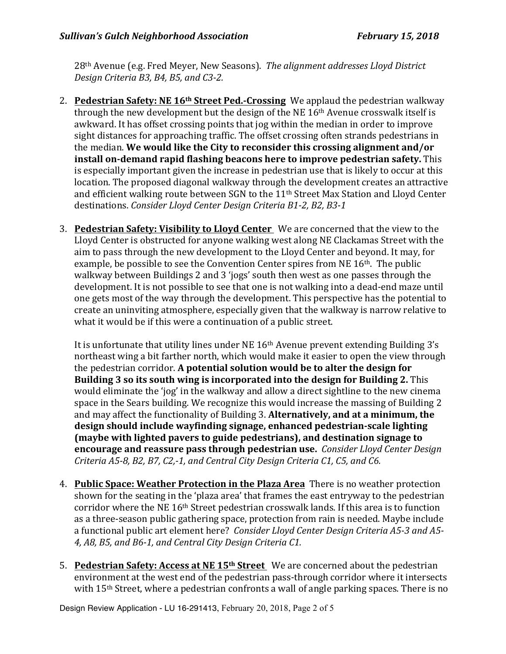28<sup>th</sup> Avenue (e.g. Fred Meyer, New Seasons). *The alignment addresses Lloyd District Design Criteria B3, B4, B5, and C3-2.*

- 2. **Pedestrian Safety: NE 16<sup>th</sup> Street Ped.-Crossing** We applaud the pedestrian walkway through the new development but the design of the NE  $16<sup>th</sup>$  Avenue crosswalk itself is awkward. It has offset crossing points that jog within the median in order to improve sight distances for approaching traffic. The offset crossing often strands pedestrians in the median. We would like the City to reconsider this crossing alignment and/or **install on-demand rapid flashing beacons here to improve pedestrian safety.** This is especially important given the increase in pedestrian use that is likely to occur at this location. The proposed diagonal walkway through the development creates an attractive and efficient walking route between  $SGN$  to the  $11<sup>th</sup>$  Street Max Station and Lloyd Center destinations. *Consider Lloyd Center Design Criteria B1-2, B2, B3-1*
- **3. Pedestrian Safety: Visibility to Lloyd Center** We are concerned that the view to the Lloyd Center is obstructed for anyone walking west along NE Clackamas Street with the aim to pass through the new development to the Lloyd Center and beyond. It may, for example, be possible to see the Convention Center spires from NE  $16<sup>th</sup>$ . The public walkway between Buildings 2 and 3 'jogs' south then west as one passes through the development. It is not possible to see that one is not walking into a dead-end maze until one gets most of the way through the development. This perspective has the potential to create an uninviting atmosphere, especially given that the walkway is narrow relative to what it would be if this were a continuation of a public street.

It is unfortunate that utility lines under NE  $16<sup>th</sup>$  Avenue prevent extending Building 3's northeast wing a bit farther north, which would make it easier to open the view through the pedestrian corridor. A potential solution would be to alter the design for **Building 3 so its south wing is incorporated into the design for Building 2.** This would eliminate the 'jog' in the walkway and allow a direct sightline to the new cinema space in the Sears building. We recognize this would increase the massing of Building 2 and may affect the functionality of Building 3. Alternatively, and at a minimum, the design should include wayfinding signage, enhanced pedestrian-scale lighting **(maybe with lighted pavers to guide pedestrians), and destination signage to encourage and reassure pass through pedestrian use.** Consider Lloyd Center Design *Criteria A5-8, B2, B7, C2,-1, and Central City Design Criteria C1, C5, and C6.*

- 4. **Public Space: Weather Protection in the Plaza Area** There is no weather protection shown for the seating in the 'plaza area' that frames the east entryway to the pedestrian corridor where the NE  $16<sup>th</sup>$  Street pedestrian crosswalk lands. If this area is to function as a three-season public gathering space, protection from rain is needed. Maybe include a functional public art element here? *Consider Lloyd Center Design Criteria A5-3 and A5-4, A8, B5, and B6-1, and Central City Design Criteria C1.*
- 5. **Pedestrian Safety: Access at NE 15<sup>th</sup> Street** We are concerned about the pedestrian environment at the west end of the pedestrian pass-through corridor where it intersects with  $15<sup>th</sup>$  Street, where a pedestrian confronts a wall of angle parking spaces. There is no

Design Review Application - LU 16-291413, February 20, 2018, Page 2 of 5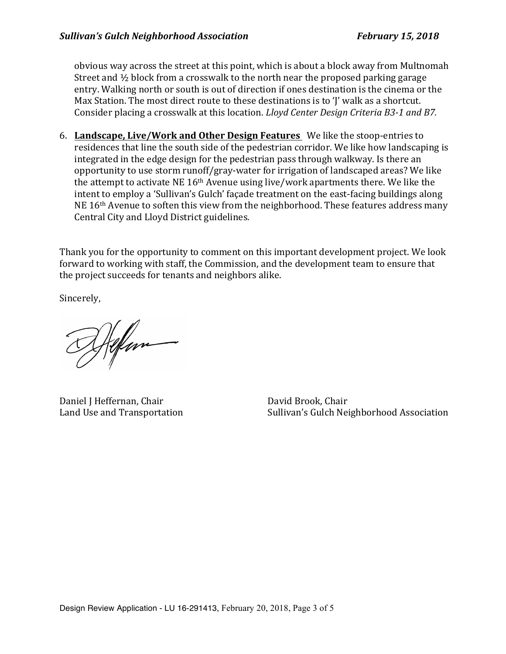obvious way across the street at this point, which is about a block away from Multnomah Street and  $\frac{1}{2}$  block from a crosswalk to the north near the proposed parking garage entry. Walking north or south is out of direction if ones destination is the cinema or the Max Station. The most direct route to these destinations is to 'I' walk as a shortcut. Consider placing a crosswalk at this location. *Lloyd Center Design Criteria B3-1 and B7.* 

6. Landscape, Live/Work and Other Design Features We like the stoop-entries to residences that line the south side of the pedestrian corridor. We like how landscaping is integrated in the edge design for the pedestrian pass through walkway. Is there an opportunity to use storm runoff/gray-water for irrigation of landscaped areas? We like the attempt to activate NE  $16<sup>th</sup>$  Avenue using live/work apartments there. We like the intent to employ a 'Sullivan's Gulch' façade treatment on the east-facing buildings along NE  $16<sup>th</sup>$  Avenue to soften this view from the neighborhood. These features address many Central City and Lloyd District guidelines.

Thank you for the opportunity to comment on this important development project. We look forward to working with staff, the Commission, and the development team to ensure that the project succeeds for tenants and neighbors alike.

Sincerely,

Alfon

Daniel J Heffernan, Chair **David Brook**, Chair

Land Use and Transportation Sullivan's Gulch Neighborhood Association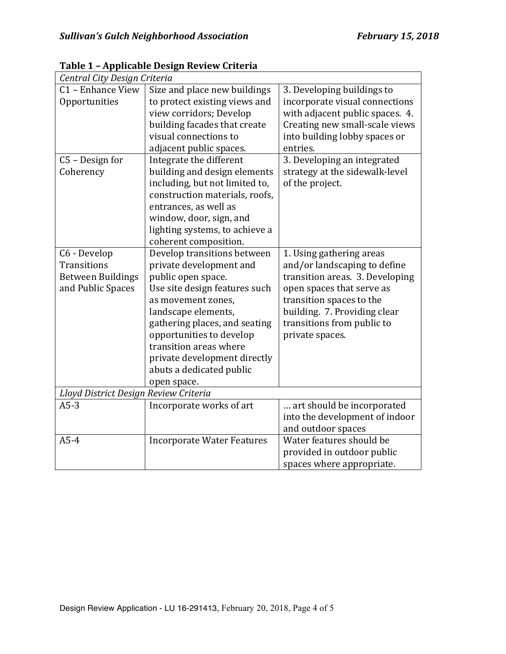| Central City Design Criteria          |                                   |                                 |  |
|---------------------------------------|-----------------------------------|---------------------------------|--|
| C1 - Enhance View                     | Size and place new buildings      | 3. Developing buildings to      |  |
| Opportunities                         | to protect existing views and     | incorporate visual connections  |  |
|                                       | view corridors; Develop           | with adjacent public spaces. 4. |  |
|                                       | building facades that create      | Creating new small-scale views  |  |
|                                       | visual connections to             | into building lobby spaces or   |  |
|                                       | adjacent public spaces.           | entries.                        |  |
| C5 - Design for                       | Integrate the different           | 3. Developing an integrated     |  |
| Coherency                             | building and design elements      | strategy at the sidewalk-level  |  |
|                                       | including, but not limited to,    | of the project.                 |  |
|                                       | construction materials, roofs,    |                                 |  |
|                                       | entrances, as well as             |                                 |  |
|                                       | window, door, sign, and           |                                 |  |
|                                       | lighting systems, to achieve a    |                                 |  |
|                                       | coherent composition.             |                                 |  |
| C6 - Develop                          | Develop transitions between       | 1. Using gathering areas        |  |
| <b>Transitions</b>                    | private development and           | and/or landscaping to define    |  |
| <b>Between Buildings</b>              | public open space.                | transition areas. 3. Developing |  |
| and Public Spaces                     | Use site design features such     | open spaces that serve as       |  |
|                                       | as movement zones,                | transition spaces to the        |  |
|                                       | landscape elements,               | building. 7. Providing clear    |  |
|                                       | gathering places, and seating     | transitions from public to      |  |
|                                       | opportunities to develop          | private spaces.                 |  |
|                                       | transition areas where            |                                 |  |
|                                       | private development directly      |                                 |  |
|                                       | abuts a dedicated public          |                                 |  |
|                                       | open space.                       |                                 |  |
| Lloyd District Design Review Criteria |                                   |                                 |  |
| $A5-3$                                | Incorporate works of art          | art should be incorporated      |  |
|                                       |                                   | into the development of indoor  |  |
|                                       |                                   | and outdoor spaces              |  |
| $A5-4$                                | <b>Incorporate Water Features</b> | Water features should be        |  |
|                                       |                                   | provided in outdoor public      |  |
|                                       |                                   | spaces where appropriate.       |  |

**Table 1 – Applicable Design Review Criteria**